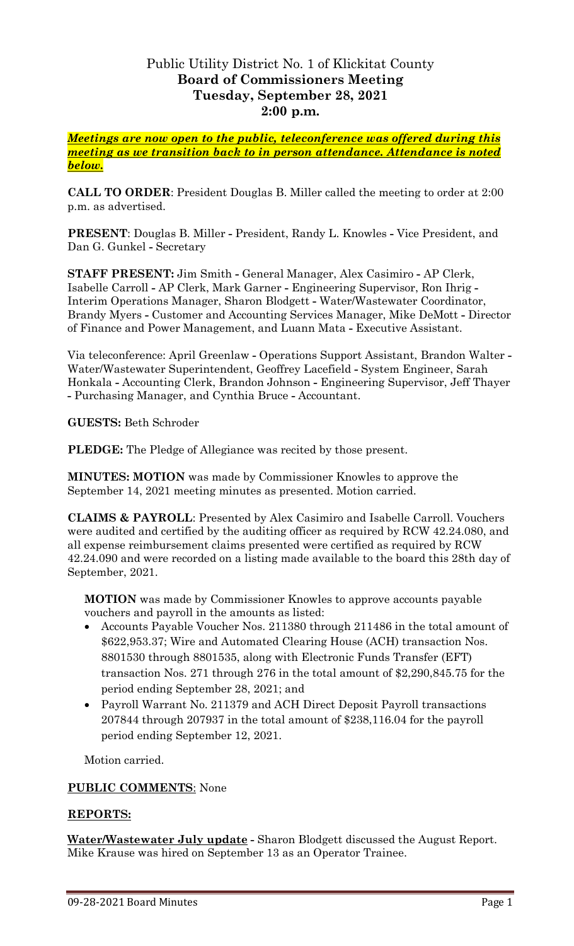## Public Utility District No. 1 of Klickitat County **Board of Commissioners Meeting Tuesday, September 28, 2021 2:00 p.m.**

*Meetings are now open to the public, teleconference was offered during this meeting as we transition back to in person attendance. Attendance is noted below.*

**CALL TO ORDER**: President Douglas B. Miller called the meeting to order at 2:00 p.m. as advertised.

**PRESENT**: Douglas B. Miller **-** President, Randy L. Knowles **-** Vice President, and Dan G. Gunkel **-** Secretary

**STAFF PRESENT:** Jim Smith **-** General Manager, Alex Casimiro **-** AP Clerk, Isabelle Carroll **-** AP Clerk, Mark Garner **-** Engineering Supervisor, Ron Ihrig **-** Interim Operations Manager, Sharon Blodgett **-** Water/Wastewater Coordinator, Brandy Myers **-** Customer and Accounting Services Manager, Mike DeMott **-** Director of Finance and Power Management, and Luann Mata **-** Executive Assistant.

Via teleconference: April Greenlaw **-** Operations Support Assistant, Brandon Walter **-** Water/Wastewater Superintendent, Geoffrey Lacefield **-** System Engineer, Sarah Honkala **-** Accounting Clerk, Brandon Johnson **-** Engineering Supervisor, Jeff Thayer **-** Purchasing Manager, and Cynthia Bruce **-** Accountant.

**GUESTS:** Beth Schroder

**PLEDGE:** The Pledge of Allegiance was recited by those present.

**MINUTES: MOTION** was made by Commissioner Knowles to approve the September 14, 2021 meeting minutes as presented. Motion carried.

**CLAIMS & PAYROLL**: Presented by Alex Casimiro and Isabelle Carroll. Vouchers were audited and certified by the auditing officer as required by RCW 42.24.080, and all expense reimbursement claims presented were certified as required by RCW 42.24.090 and were recorded on a listing made available to the board this 28th day of September, 2021.

**MOTION** was made by Commissioner Knowles to approve accounts payable vouchers and payroll in the amounts as listed:

- Accounts Payable Voucher Nos. 211380 through 211486 in the total amount of \$622,953.37; Wire and Automated Clearing House (ACH) transaction Nos. 8801530 through 8801535, along with Electronic Funds Transfer (EFT) transaction Nos. 271 through 276 in the total amount of \$2,290,845.75 for the period ending September 28, 2021; and
- Payroll Warrant No. 211379 and ACH Direct Deposit Payroll transactions 207844 through 207937 in the total amount of \$238,116.04 for the payroll period ending September 12, 2021.

Motion carried.

## **PUBLIC COMMENTS**: None

## **REPORTS:**

**Water/Wastewater July update -** Sharon Blodgett discussed the August Report. Mike Krause was hired on September 13 as an Operator Trainee.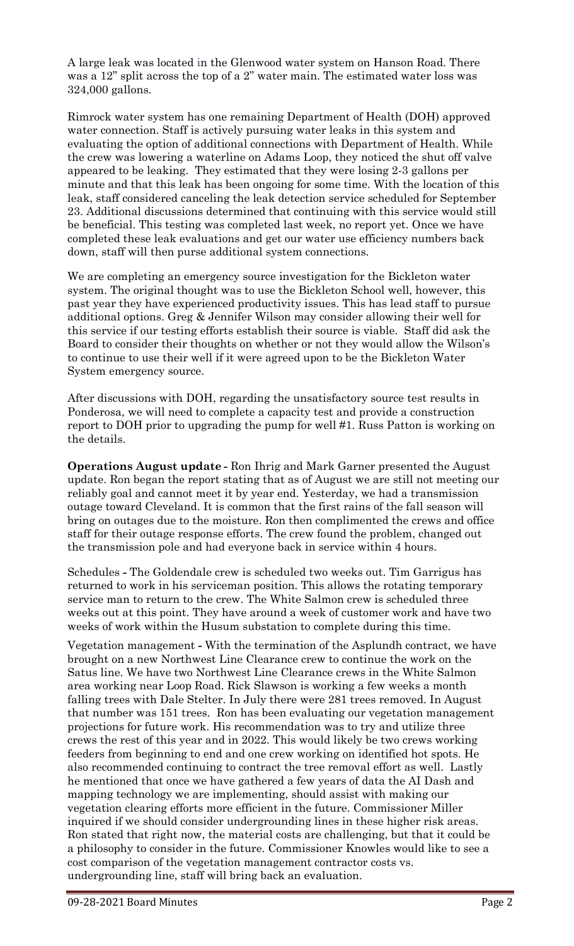A large leak was located in the Glenwood water system on Hanson Road. There was a 12" split across the top of a 2" water main. The estimated water loss was 324,000 gallons.

Rimrock water system has one remaining Department of Health (DOH) approved water connection. Staff is actively pursuing water leaks in this system and evaluating the option of additional connections with Department of Health. While the crew was lowering a waterline on Adams Loop, they noticed the shut off valve appeared to be leaking. They estimated that they were losing 2-3 gallons per minute and that this leak has been ongoing for some time. With the location of this leak, staff considered canceling the leak detection service scheduled for September 23. Additional discussions determined that continuing with this service would still be beneficial. This testing was completed last week, no report yet. Once we have completed these leak evaluations and get our water use efficiency numbers back down, staff will then purse additional system connections.

We are completing an emergency source investigation for the Bickleton water system. The original thought was to use the Bickleton School well, however, this past year they have experienced productivity issues. This has lead staff to pursue additional options. Greg & Jennifer Wilson may consider allowing their well for this service if our testing efforts establish their source is viable. Staff did ask the Board to consider their thoughts on whether or not they would allow the Wilson's to continue to use their well if it were agreed upon to be the Bickleton Water System emergency source.

After discussions with DOH, regarding the unsatisfactory source test results in Ponderosa, we will need to complete a capacity test and provide a construction report to DOH prior to upgrading the pump for well #1. Russ Patton is working on the details.

**Operations August update -** Ron Ihrig and Mark Garner presented the August update. Ron began the report stating that as of August we are still not meeting our reliably goal and cannot meet it by year end. Yesterday, we had a transmission outage toward Cleveland. It is common that the first rains of the fall season will bring on outages due to the moisture. Ron then complimented the crews and office staff for their outage response efforts. The crew found the problem, changed out the transmission pole and had everyone back in service within 4 hours.

Schedules **-** The Goldendale crew is scheduled two weeks out. Tim Garrigus has returned to work in his serviceman position. This allows the rotating temporary service man to return to the crew. The White Salmon crew is scheduled three weeks out at this point. They have around a week of customer work and have two weeks of work within the Husum substation to complete during this time.

Vegetation management **-** With the termination of the Asplundh contract, we have brought on a new Northwest Line Clearance crew to continue the work on the Satus line. We have two Northwest Line Clearance crews in the White Salmon area working near Loop Road. Rick Slawson is working a few weeks a month falling trees with Dale Stelter. In July there were 281 trees removed. In August that number was 151 trees. Ron has been evaluating our vegetation management projections for future work. His recommendation was to try and utilize three crews the rest of this year and in 2022. This would likely be two crews working feeders from beginning to end and one crew working on identified hot spots. He also recommended continuing to contract the tree removal effort as well. Lastly he mentioned that once we have gathered a few years of data the AI Dash and mapping technology we are implementing, should assist with making our vegetation clearing efforts more efficient in the future. Commissioner Miller inquired if we should consider undergrounding lines in these higher risk areas. Ron stated that right now, the material costs are challenging, but that it could be a philosophy to consider in the future. Commissioner Knowles would like to see a cost comparison of the vegetation management contractor costs vs. undergrounding line, staff will bring back an evaluation.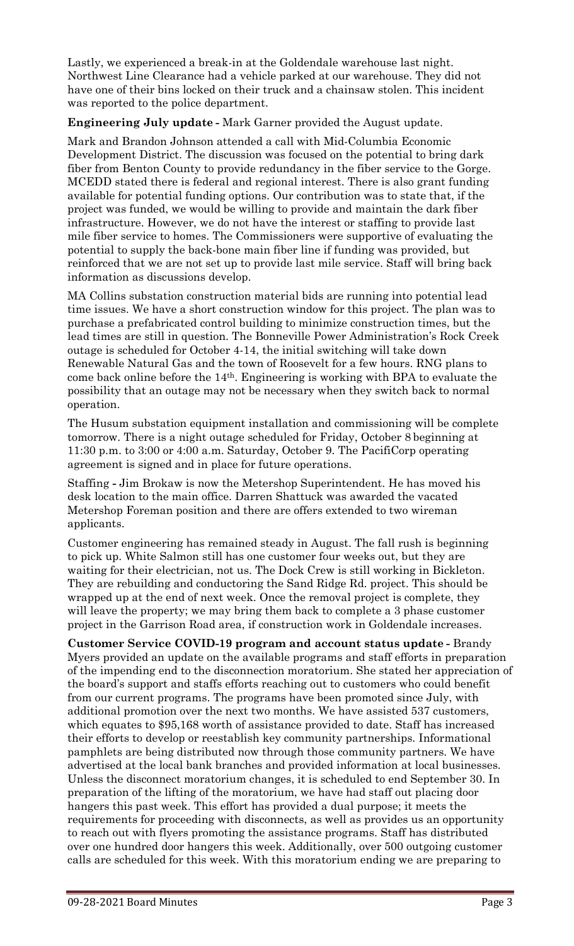Lastly, we experienced a break-in at the Goldendale warehouse last night. Northwest Line Clearance had a vehicle parked at our warehouse. They did not have one of their bins locked on their truck and a chainsaw stolen. This incident was reported to the police department.

**Engineering July update -** Mark Garner provided the August update.

Mark and Brandon Johnson attended a call with Mid-Columbia Economic Development District. The discussion was focused on the potential to bring dark fiber from Benton County to provide redundancy in the fiber service to the Gorge. MCEDD stated there is federal and regional interest. There is also grant funding available for potential funding options. Our contribution was to state that, if the project was funded, we would be willing to provide and maintain the dark fiber infrastructure. However, we do not have the interest or staffing to provide last mile fiber service to homes. The Commissioners were supportive of evaluating the potential to supply the back-bone main fiber line if funding was provided, but reinforced that we are not set up to provide last mile service. Staff will bring back information as discussions develop.

MA Collins substation construction material bids are running into potential lead time issues. We have a short construction window for this project. The plan was to purchase a prefabricated control building to minimize construction times, but the lead times are still in question. The Bonneville Power Administration's Rock Creek outage is scheduled for October 4-14, the initial switching will take down Renewable Natural Gas and the town of Roosevelt for a few hours. RNG plans to come back online before the 14th. Engineering is working with BPA to evaluate the possibility that an outage may not be necessary when they switch back to normal operation.

The Husum substation equipment installation and commissioning will be complete tomorrow. There is a night outage scheduled for Friday, October 8 beginning at 11:30 p.m. to 3:00 or 4:00 a.m. Saturday, October 9. The PacifiCorp operating agreement is signed and in place for future operations.

Staffing **-** Jim Brokaw is now the Metershop Superintendent. He has moved his desk location to the main office. Darren Shattuck was awarded the vacated Metershop Foreman position and there are offers extended to two wireman applicants.

Customer engineering has remained steady in August. The fall rush is beginning to pick up. White Salmon still has one customer four weeks out, but they are waiting for their electrician, not us. The Dock Crew is still working in Bickleton. They are rebuilding and conductoring the Sand Ridge Rd. project. This should be wrapped up at the end of next week. Once the removal project is complete, they will leave the property; we may bring them back to complete a 3 phase customer project in the Garrison Road area, if construction work in Goldendale increases.

**Customer Service COVID-19 program and account status update -** Brandy Myers provided an update on the available programs and staff efforts in preparation of the impending end to the disconnection moratorium. She stated her appreciation of the board's support and staffs efforts reaching out to customers who could benefit from our current programs. The programs have been promoted since July, with additional promotion over the next two months. We have assisted 537 customers, which equates to \$95,168 worth of assistance provided to date. Staff has increased their efforts to develop or reestablish key community partnerships. Informational pamphlets are being distributed now through those community partners. We have advertised at the local bank branches and provided information at local businesses. Unless the disconnect moratorium changes, it is scheduled to end September 30. In preparation of the lifting of the moratorium, we have had staff out placing door hangers this past week. This effort has provided a dual purpose; it meets the requirements for proceeding with disconnects, as well as provides us an opportunity to reach out with flyers promoting the assistance programs. Staff has distributed over one hundred door hangers this week. Additionally, over 500 outgoing customer calls are scheduled for this week. With this moratorium ending we are preparing to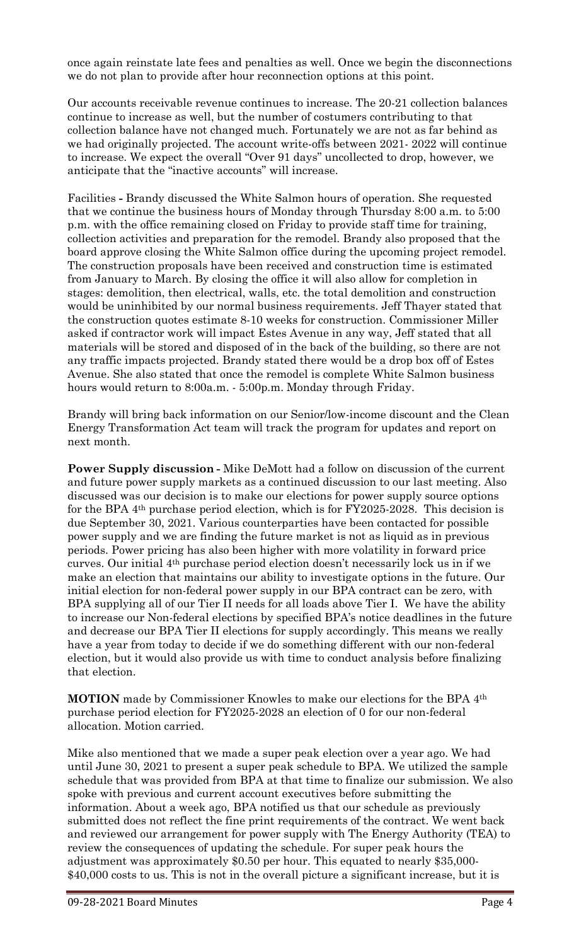once again reinstate late fees and penalties as well. Once we begin the disconnections we do not plan to provide after hour reconnection options at this point.

Our accounts receivable revenue continues to increase. The 20-21 collection balances continue to increase as well, but the number of costumers contributing to that collection balance have not changed much. Fortunately we are not as far behind as we had originally projected. The account write-offs between 2021- 2022 will continue to increase. We expect the overall "Over 91 days" uncollected to drop, however, we anticipate that the "inactive accounts" will increase.

Facilities **-** Brandy discussed the White Salmon hours of operation. She requested that we continue the business hours of Monday through Thursday 8:00 a.m. to 5:00 p.m. with the office remaining closed on Friday to provide staff time for training, collection activities and preparation for the remodel. Brandy also proposed that the board approve closing the White Salmon office during the upcoming project remodel. The construction proposals have been received and construction time is estimated from January to March. By closing the office it will also allow for completion in stages: demolition, then electrical, walls, etc. the total demolition and construction would be uninhibited by our normal business requirements. Jeff Thayer stated that the construction quotes estimate 8-10 weeks for construction. Commissioner Miller asked if contractor work will impact Estes Avenue in any way, Jeff stated that all materials will be stored and disposed of in the back of the building, so there are not any traffic impacts projected. Brandy stated there would be a drop box off of Estes Avenue. She also stated that once the remodel is complete White Salmon business hours would return to 8:00a.m. - 5:00p.m. Monday through Friday.

Brandy will bring back information on our Senior/low-income discount and the Clean Energy Transformation Act team will track the program for updates and report on next month.

**Power Supply discussion -** Mike DeMott had a follow on discussion of the current and future power supply markets as a continued discussion to our last meeting. Also discussed was our decision is to make our elections for power supply source options for the BPA 4th purchase period election, which is for FY2025-2028. This decision is due September 30, 2021. Various counterparties have been contacted for possible power supply and we are finding the future market is not as liquid as in previous periods. Power pricing has also been higher with more volatility in forward price curves. Our initial 4th purchase period election doesn't necessarily lock us in if we make an election that maintains our ability to investigate options in the future. Our initial election for non-federal power supply in our BPA contract can be zero, with BPA supplying all of our Tier II needs for all loads above Tier I. We have the ability to increase our Non-federal elections by specified BPA's notice deadlines in the future and decrease our BPA Tier II elections for supply accordingly. This means we really have a year from today to decide if we do something different with our non-federal election, but it would also provide us with time to conduct analysis before finalizing that election.

**MOTION** made by Commissioner Knowles to make our elections for the BPA 4th purchase period election for FY2025-2028 an election of 0 for our non-federal allocation. Motion carried.

Mike also mentioned that we made a super peak election over a year ago. We had until June 30, 2021 to present a super peak schedule to BPA. We utilized the sample schedule that was provided from BPA at that time to finalize our submission. We also spoke with previous and current account executives before submitting the information. About a week ago, BPA notified us that our schedule as previously submitted does not reflect the fine print requirements of the contract. We went back and reviewed our arrangement for power supply with The Energy Authority (TEA) to review the consequences of updating the schedule. For super peak hours the adjustment was approximately \$0.50 per hour. This equated to nearly \$35,000- \$40,000 costs to us. This is not in the overall picture a significant increase, but it is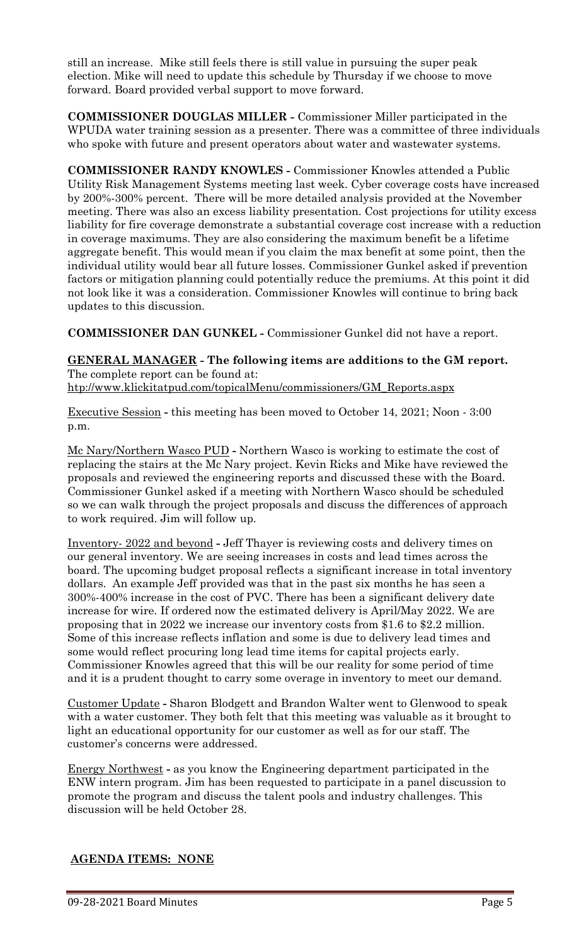still an increase. Mike still feels there is still value in pursuing the super peak election. Mike will need to update this schedule by Thursday if we choose to move forward. Board provided verbal support to move forward.

**COMMISSIONER DOUGLAS MILLER -** Commissioner Miller participated in the WPUDA water training session as a presenter. There was a committee of three individuals who spoke with future and present operators about water and wastewater systems.

**COMMISSIONER RANDY KNOWLES -** Commissioner Knowles attended a Public Utility Risk Management Systems meeting last week. Cyber coverage costs have increased by 200%-300% percent. There will be more detailed analysis provided at the November meeting. There was also an excess liability presentation. Cost projections for utility excess liability for fire coverage demonstrate a substantial coverage cost increase with a reduction in coverage maximums. They are also considering the maximum benefit be a lifetime aggregate benefit. This would mean if you claim the max benefit at some point, then the individual utility would bear all future losses. Commissioner Gunkel asked if prevention factors or mitigation planning could potentially reduce the premiums. At this point it did not look like it was a consideration. Commissioner Knowles will continue to bring back updates to this discussion.

**COMMISSIONER DAN GUNKEL -** Commissioner Gunkel did not have a report.

**GENERAL MANAGER - The following items are additions to the GM report.** The complete report can be found at: [htp://www.klickitatpud.com/topicalMenu/commissioners/GM\\_Reports.aspx](http://www.klickitatpud.com/topicalMenu/commissioners/GM_Reports.aspx)

Executive Session **-** this meeting has been moved to October 14, 2021; Noon - 3:00 p.m.

Mc Nary/Northern Wasco PUD **-** Northern Wasco is working to estimate the cost of replacing the stairs at the Mc Nary project. Kevin Ricks and Mike have reviewed the proposals and reviewed the engineering reports and discussed these with the Board. Commissioner Gunkel asked if a meeting with Northern Wasco should be scheduled so we can walk through the project proposals and discuss the differences of approach to work required. Jim will follow up.

Inventory- 2022 and beyond **-** Jeff Thayer is reviewing costs and delivery times on our general inventory. We are seeing increases in costs and lead times across the board. The upcoming budget proposal reflects a significant increase in total inventory dollars. An example Jeff provided was that in the past six months he has seen a 300%-400% increase in the cost of PVC. There has been a significant delivery date increase for wire. If ordered now the estimated delivery is April/May 2022. We are proposing that in 2022 we increase our inventory costs from \$1.6 to \$2.2 million. Some of this increase reflects inflation and some is due to delivery lead times and some would reflect procuring long lead time items for capital projects early. Commissioner Knowles agreed that this will be our reality for some period of time and it is a prudent thought to carry some overage in inventory to meet our demand.

Customer Update **-** Sharon Blodgett and Brandon Walter went to Glenwood to speak with a water customer. They both felt that this meeting was valuable as it brought to light an educational opportunity for our customer as well as for our staff. The customer's concerns were addressed.

Energy Northwest **-** as you know the Engineering department participated in the ENW intern program. Jim has been requested to participate in a panel discussion to promote the program and discuss the talent pools and industry challenges. This discussion will be held October 28.

## **AGENDA ITEMS: NONE**